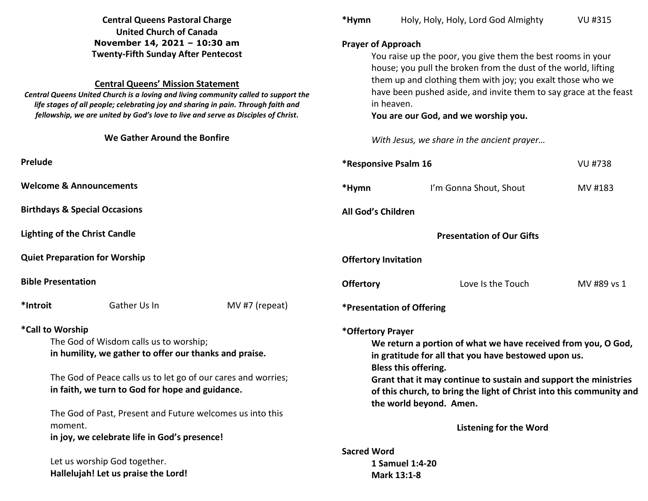|                                                                                                                                                                                                                                                                                                                                                                                                                         | <b>Central Queens Pastoral Charge</b><br><b>United Church of Canada</b>                                                                                                                                                                                                           |                                                                                                                                                                                                                                                                                                                                                                                                   | *Hymn                              | Holy, Holy, Holy, Lord God Almighty                                                                                                                                                                                                                                                                                                       | <b>VU #315</b> |
|-------------------------------------------------------------------------------------------------------------------------------------------------------------------------------------------------------------------------------------------------------------------------------------------------------------------------------------------------------------------------------------------------------------------------|-----------------------------------------------------------------------------------------------------------------------------------------------------------------------------------------------------------------------------------------------------------------------------------|---------------------------------------------------------------------------------------------------------------------------------------------------------------------------------------------------------------------------------------------------------------------------------------------------------------------------------------------------------------------------------------------------|------------------------------------|-------------------------------------------------------------------------------------------------------------------------------------------------------------------------------------------------------------------------------------------------------------------------------------------------------------------------------------------|----------------|
| November 14, 2021 - 10:30 am<br><b>Twenty-Fifth Sunday After Pentecost</b><br><b>Central Queens' Mission Statement</b><br>Central Queens United Church is a loving and living community called to support the<br>life stages of all people; celebrating joy and sharing in pain. Through faith and<br>fellowship, we are united by God's love to live and serve as Disciples of Christ.<br>We Gather Around the Bonfire |                                                                                                                                                                                                                                                                                   | <b>Prayer of Approach</b><br>You raise up the poor, you give them the best rooms in your<br>house; you pull the broken from the dust of the world, lifting<br>them up and clothing them with joy; you exalt those who we<br>have been pushed aside, and invite them to say grace at the feast<br>in heaven.<br>You are our God, and we worship you.<br>With Jesus, we share in the ancient prayer |                                    |                                                                                                                                                                                                                                                                                                                                           |                |
| Prelude                                                                                                                                                                                                                                                                                                                                                                                                                 |                                                                                                                                                                                                                                                                                   |                                                                                                                                                                                                                                                                                                                                                                                                   | <i><b>*Responsive Psalm 16</b></i> |                                                                                                                                                                                                                                                                                                                                           | VU #738        |
|                                                                                                                                                                                                                                                                                                                                                                                                                         | <b>Welcome &amp; Announcements</b>                                                                                                                                                                                                                                                |                                                                                                                                                                                                                                                                                                                                                                                                   | *Hymn                              | I'm Gonna Shout, Shout                                                                                                                                                                                                                                                                                                                    | MV #183        |
|                                                                                                                                                                                                                                                                                                                                                                                                                         | <b>Birthdays &amp; Special Occasions</b>                                                                                                                                                                                                                                          |                                                                                                                                                                                                                                                                                                                                                                                                   | All God's Children                 |                                                                                                                                                                                                                                                                                                                                           |                |
| <b>Lighting of the Christ Candle</b>                                                                                                                                                                                                                                                                                                                                                                                    |                                                                                                                                                                                                                                                                                   |                                                                                                                                                                                                                                                                                                                                                                                                   | <b>Presentation of Our Gifts</b>   |                                                                                                                                                                                                                                                                                                                                           |                |
|                                                                                                                                                                                                                                                                                                                                                                                                                         | <b>Quiet Preparation for Worship</b>                                                                                                                                                                                                                                              |                                                                                                                                                                                                                                                                                                                                                                                                   | <b>Offertory Invitation</b>        |                                                                                                                                                                                                                                                                                                                                           |                |
| <b>Bible Presentation</b>                                                                                                                                                                                                                                                                                                                                                                                               |                                                                                                                                                                                                                                                                                   |                                                                                                                                                                                                                                                                                                                                                                                                   | <b>Offertory</b>                   | Love Is the Touch                                                                                                                                                                                                                                                                                                                         | MV #89 vs 1    |
| *Introit                                                                                                                                                                                                                                                                                                                                                                                                                | Gather Us In                                                                                                                                                                                                                                                                      | MV #7 (repeat)                                                                                                                                                                                                                                                                                                                                                                                    |                                    | *Presentation of Offering                                                                                                                                                                                                                                                                                                                 |                |
| *Call to Worship                                                                                                                                                                                                                                                                                                                                                                                                        | The God of Wisdom calls us to worship;<br>in humility, we gather to offer our thanks and praise.<br>The God of Peace calls us to let go of our cares and worries;<br>in faith, we turn to God for hope and guidance.<br>The God of Past, Present and Future welcomes us into this |                                                                                                                                                                                                                                                                                                                                                                                                   |                                    | *Offertory Prayer<br>We return a portion of what we have received from you, O God,<br>in gratitude for all that you have bestowed upon us.<br>Bless this offering.<br>Grant that it may continue to sustain and support the ministries<br>of this church, to bring the light of Christ into this community and<br>the world beyond. Amen. |                |
|                                                                                                                                                                                                                                                                                                                                                                                                                         | moment.<br>in joy, we celebrate life in God's presence!                                                                                                                                                                                                                           |                                                                                                                                                                                                                                                                                                                                                                                                   | <b>Listening for the Word</b>      |                                                                                                                                                                                                                                                                                                                                           |                |
|                                                                                                                                                                                                                                                                                                                                                                                                                         | Let us worship God together.<br>Hallelujah! Let us praise the Lord!                                                                                                                                                                                                               |                                                                                                                                                                                                                                                                                                                                                                                                   | <b>Sacred Word</b>                 | 1 Samuel 1:4-20<br>Mark 13:1-8                                                                                                                                                                                                                                                                                                            |                |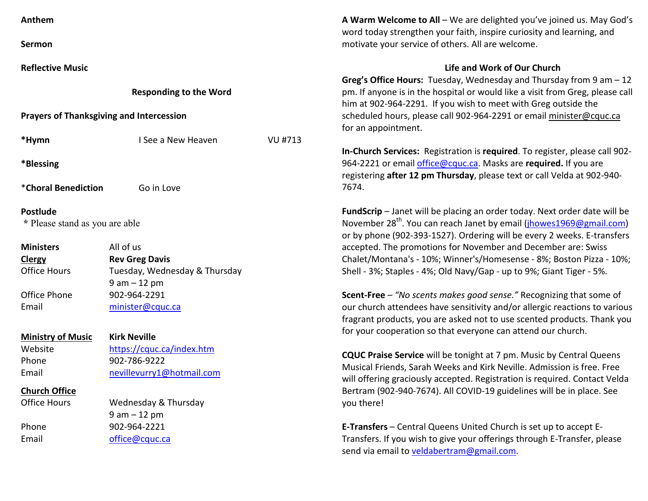| Anthem                                            |                               |                |  |  |  |  |
|---------------------------------------------------|-------------------------------|----------------|--|--|--|--|
| Sermon                                            |                               |                |  |  |  |  |
| <b>Reflective Music</b>                           |                               |                |  |  |  |  |
|                                                   | <b>Responding to the Word</b> |                |  |  |  |  |
| <b>Prayers of Thanksgiving and Intercession</b>   |                               |                |  |  |  |  |
| *Hymn                                             | I See a New Heaven            | <b>VU #713</b> |  |  |  |  |
| *Blessing                                         |                               |                |  |  |  |  |
| *Choral Benediction<br>Go in Love                 |                               |                |  |  |  |  |
| <b>Postlude</b><br>* Please stand as you are able |                               |                |  |  |  |  |
| <b>Ministers</b>                                  | All of us                     |                |  |  |  |  |
| <b>Clergy</b>                                     | <b>Rev Greg Davis</b>         |                |  |  |  |  |
| <b>Office Hours</b>                               | Tuesday, Wednesday & Thursday |                |  |  |  |  |
|                                                   | $9 am - 12 pm$                |                |  |  |  |  |
| Office Phone                                      | 902-964-2291                  |                |  |  |  |  |
| Email                                             | minister@cquc.ca              |                |  |  |  |  |
| <b>Ministry of Music</b>                          | <b>Kirk Neville</b>           |                |  |  |  |  |
| Website                                           | https://cquc.ca/index.htm     |                |  |  |  |  |
| Phone                                             | 902-786-9222                  |                |  |  |  |  |
| Email                                             | nevillevurry1@hotmail.com     |                |  |  |  |  |
| <b>Church Office</b>                              |                               |                |  |  |  |  |
| <b>Office Hours</b>                               | Wednesday & Thursday          |                |  |  |  |  |
|                                                   | $9 am - 12 pm$                |                |  |  |  |  |
| Phone                                             | 902-964-2221                  |                |  |  |  |  |
| Email                                             | office@cquc.ca                |                |  |  |  |  |

**A Warm Welcome to All** – We are delighted you've joined us. May God's word today strengthen your faith, inspire curiosity and learning, and motivate your service of others. All are welcome.

## **Life and Work of Our Church**

**Greg's Office Hours:** Tuesday, Wednesday and Thursday from 9 am – 12 pm. If anyone is in the hospital or would like a visit from Greg, please call him at 902-964-2291. If you wish to meet with Greg outside the scheduled hours, please call 902-964-2291 or email minister@cquc.ca for an appointment.

**In-Church Services:** Registration is **required**. To register, please call 902-964-2221 or email office@cquc.ca. Masks are **required.** If you are registering **after 12 pm Thursday**, please text or call Velda at 902-940- 7674.

**FundScrip** – Janet will be placing an order today. Next order date will be November 28<sup>th</sup>. You can reach Janet by email (jhowes1969@gmail.com) or by phone (902-393-1527). Ordering will be every 2 weeks. E-transfers accepted. The promotions for November and December are: Swiss Chalet/Montana's - 10%; Winner's/Homesense - 8%; Boston Pizza - 10%; Shell - 3%; Staples - 4%; Old Navy/Gap - up to 9%; Giant Tiger - 5%.

**Scent-Free** – *"No scents makes good sense."* Recognizing that some of our church attendees have sensitivity and/or allergic reactions to various fragrant products, you are asked not to use scented products. Thank you for your cooperation so that everyone can attend our church.

**CQUC Praise Service** will be tonight at 7 pm. Music by Central Queens Musical Friends, Sarah Weeks and Kirk Neville. Admission is free. Free will offering graciously accepted. Registration is required. Contact Velda Bertram (902-940-7674). All COVID-19 guidelines will be in place. See you there!

**E-Transfers** – Central Queens United Church is set up to accept E-Transfers. If you wish to give your offerings through E-Transfer, please send via email to veldabertram@gmail.com.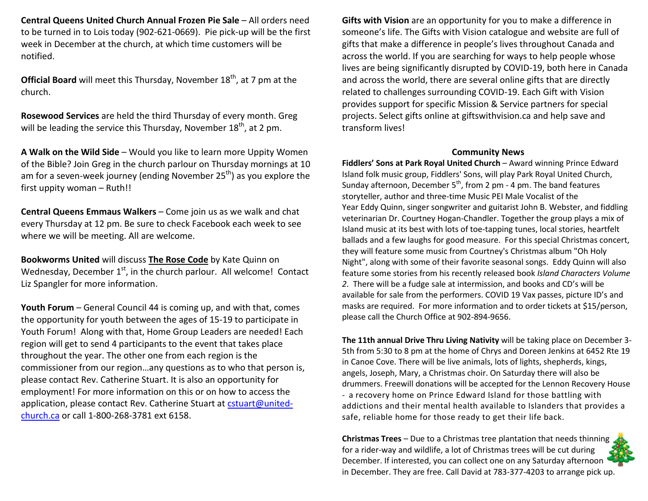**Central Queens United Church Annual Frozen Pie Sale - All orders need** to be turned in to Lois today (902-621-0669). Pie pick-up will be the first week in December at the church, at which time customers will be notified.

**Official Board** will meet this Thursday, November 18<sup>th</sup>, at 7 pm at the church.

**Rosewood Services** are held the third Thursday of every month. Greg will be leading the service this Thursday, November  $18<sup>th</sup>$ , at 2 pm.

**A Walk on the Wild Side** – Would you like to learn more Uppity Women of the Bible? Join Greg in the church parlour on Thursday mornings at 10 am for a seven-week journey (ending November 25<sup>th</sup>) as you explore the first uppity woman – Ruth!!

**Central Queens Emmaus Walkers** – Come join us as we walk and chat every Thursday at 12 pm. Be sure to check Facebook each week to see where we will be meeting. All are welcome.

**Bookworms United** will discuss **The Rose Code** by Kate Quinn on Wednesday, December  $1<sup>st</sup>$ , in the church parlour. All welcome! Contact Liz Spangler for more information.

**Youth Forum** – General Council 44 is coming up, and with that, comes the opportunity for youth between the ages of 15-19 to participate in Youth Forum! Along with that, Home Group Leaders are needed! Each region will get to send 4 participants to the event that takes place throughout the year. The other one from each region is the commissioner from our region…any questions as to who that person is, please contact Rev. Catherine Stuart. It is also an opportunity for employment! For more information on this or on how to access the application, please contact Rev. Catherine Stuart at cstuart@unitedchurch.ca or call 1-800-268-3781 ext 6158.

**Gifts with Vision** are an opportunity for you to make a difference in someone's life. The Gifts with Vision catalogue and website are full of gifts that make a difference in people's lives throughout Canada and across the world. If you are searching for ways to help people whose lives are being significantly disrupted by COVID-19, both here in Canada and across the world, there are several online gifts that are directly related to challenges surrounding COVID-19. Each Gift with Vision provides support for specific Mission & Service partners for special projects. Select gifts online at giftswithvision.ca and help save and transform lives!

## **Community News**

 **Fiddlers' Sons at Park Royal United Church** – Award winning Prince Edward Island folk music group, Fiddlers' Sons, will play Park Royal United Church, Sunday afternoon, December  $5<sup>th</sup>$ , from 2 pm - 4 pm. The band features storyteller, author and three-time Music PEI Male Vocalist of the Year Eddy Quinn, singer songwriter and guitarist John B. Webster, and fiddling veterinarian Dr. Courtney Hogan-Chandler. Together the group plays a mix of Island music at its best with lots of toe-tapping tunes, local stories, heartfelt ballads and a few laughs for good measure. For this special Christmas concert, they will feature some music from Courtney's Christmas album "Oh Holy Night", along with some of their favorite seasonal songs. Eddy Quinn will also feature some stories from his recently released book *Island Characters Volume 2*. There will be a fudge sale at intermission, and books and CD's will be available for sale from the performers. COVID 19 Vax passes, picture ID's and masks are required. For more information and to order tickets at \$15/person, please call the Church Office at 902-894-9656.

**The 11th annual Drive Thru Living Nativity** will be taking place on December 3- 5th from 5:30 to 8 pm at the home of Chrys and Doreen Jenkins at 6452 Rte 19 in Canoe Cove. There will be live animals, lots of lights, shepherds, kings, angels, Joseph, Mary, a Christmas choir. On Saturday there will also be drummers. Freewill donations will be accepted for the Lennon Recovery House - a recovery home on Prince Edward Island for those battling with addictions and their mental health available to Islanders that provides a safe, reliable home for those ready to get their life back.

**Christmas Trees** – Due to a Christmas tree plantation that needs thinning for a rider-way and wildlife, a lot of Christmas trees will be cut during December. If interested, you can collect one on any Saturday afternoon in December. They are free. Call David at 783-377-4203 to arrange pick up.